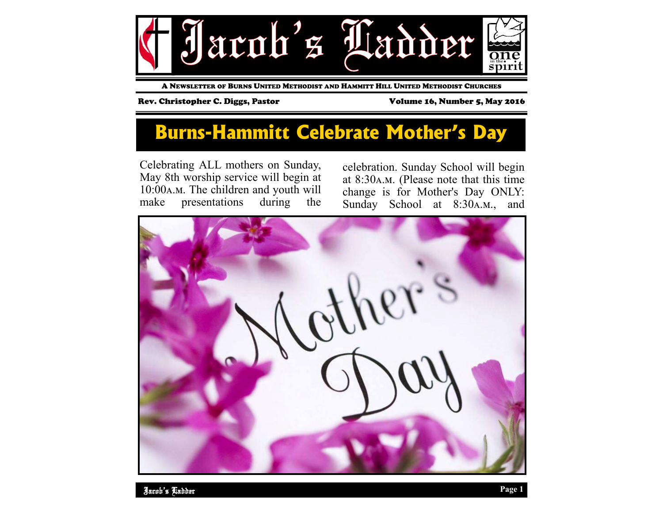

A NEWSLETTER OF BURNS UNITED METHODIST AND HAMMITT HILL UNITED METHODIST CHURCHES

Rev. Christopher C. Diggs, Pastor **Volume 16, Number 5, May 2016** 

### **Burns-Hammitt Celebrate Mother's Day**

Celebrating ALL mothers on Sunday, May 8th worship service will begin at 10:00 A.M. The children and youth will make presentations during the

celebration. Sunday School will begin at  $8:30A.M.$  (Please note that this time change is for Mother's Day ONLY: Sunday School at 8:30A.M., and

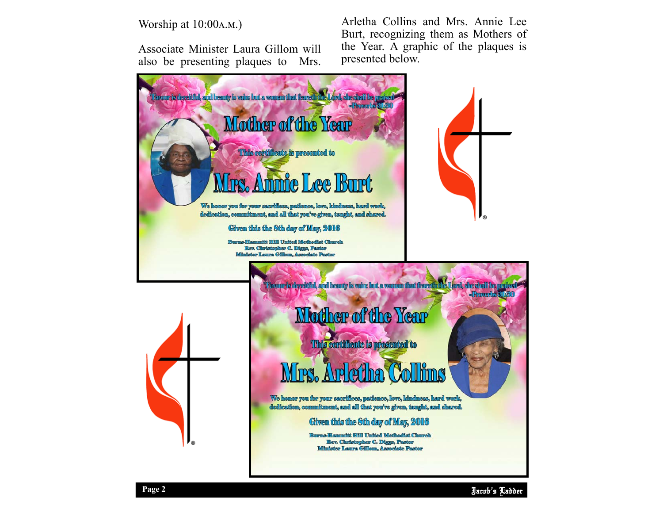### Worship at  $10:00A.M.$ )

Associate Minister Laura Gillom will also be presenting plaques to Mrs. Arletha Collins and Mrs. Annie Lee Burt, recognizing them as Mothers of the Year. A graphic of the plaques is presented below.

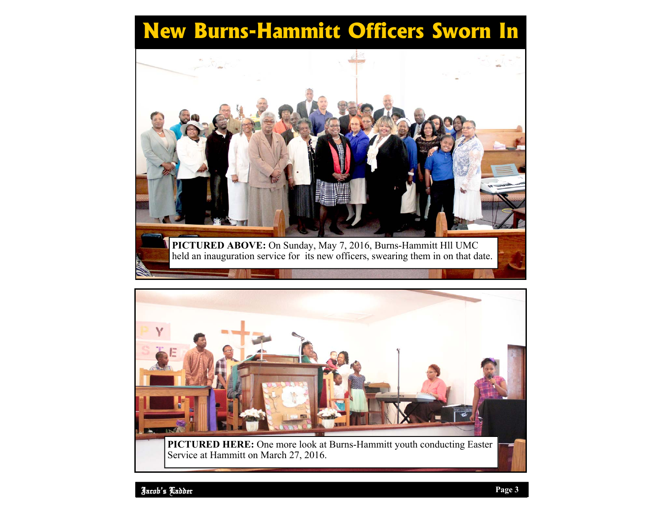# **New Burns-Hammitt Officers Sworn In**



**PICTURED ABOVE:** On Sunday, May 7, 2016, Burns-Hammitt Hll UMC held an inauguration service for its new officers, swearing them in on that date.



**PICTURED HERE:** One more look at Burns-Hammitt youth conducting Easter Service at Hammitt on March 27, 2016.